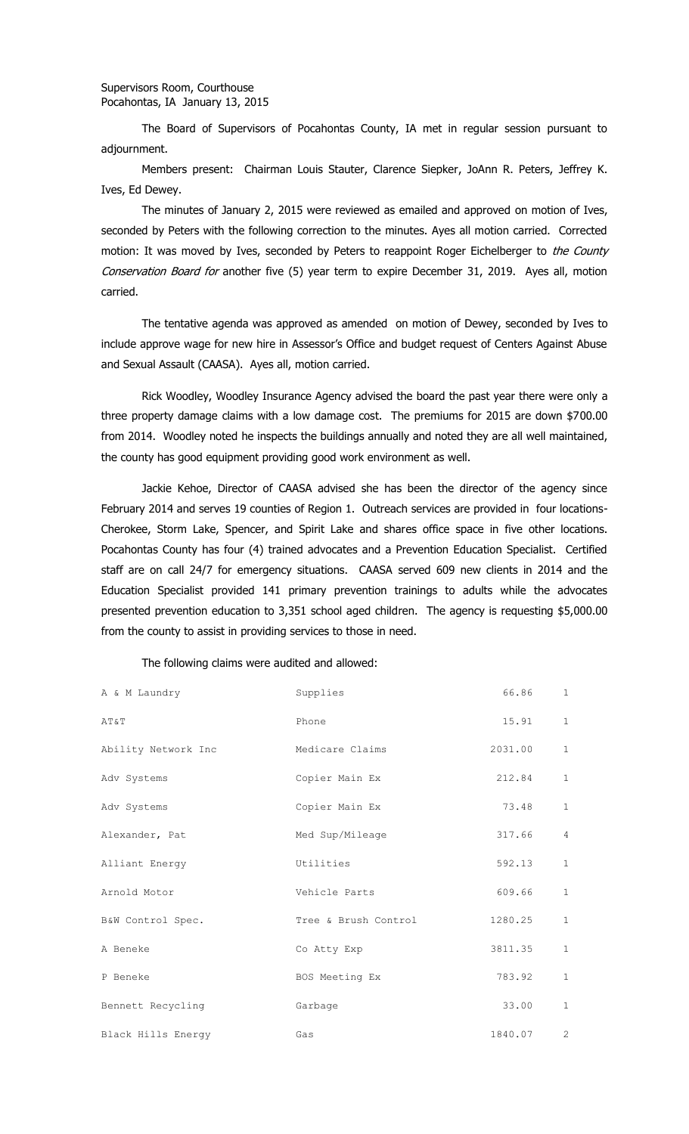## Supervisors Room, Courthouse Pocahontas, IA January 13, 2015

The Board of Supervisors of Pocahontas County, IA met in regular session pursuant to adjournment.

Members present: Chairman Louis Stauter, Clarence Siepker, JoAnn R. Peters, Jeffrey K. Ives, Ed Dewey.

The minutes of January 2, 2015 were reviewed as emailed and approved on motion of Ives, seconded by Peters with the following correction to the minutes. Ayes all motion carried. Corrected motion: It was moved by Ives, seconded by Peters to reappoint Roger Eichelberger to the County Conservation Board for another five (5) year term to expire December 31, 2019. Ayes all, motion carried.

The tentative agenda was approved as amended on motion of Dewey, seconded by Ives to include approve wage for new hire in Assessor's Office and budget request of Centers Against Abuse and Sexual Assault (CAASA). Ayes all, motion carried.

Rick Woodley, Woodley Insurance Agency advised the board the past year there were only a three property damage claims with a low damage cost. The premiums for 2015 are down \$700.00 from 2014. Woodley noted he inspects the buildings annually and noted they are all well maintained, the county has good equipment providing good work environment as well.

Jackie Kehoe, Director of CAASA advised she has been the director of the agency since February 2014 and serves 19 counties of Region 1. Outreach services are provided in four locations-Cherokee, Storm Lake, Spencer, and Spirit Lake and shares office space in five other locations. Pocahontas County has four (4) trained advocates and a Prevention Education Specialist. Certified staff are on call 24/7 for emergency situations. CAASA served 609 new clients in 2014 and the Education Specialist provided 141 primary prevention trainings to adults while the advocates presented prevention education to 3,351 school aged children. The agency is requesting \$5,000.00 from the county to assist in providing services to those in need.

## The following claims were audited and allowed:

| A & M Laundry       | Supplies             | 66.86   | $\mathbf{1}$   |
|---------------------|----------------------|---------|----------------|
| AT&T                | Phone                | 15.91   | $\mathbf{1}$   |
| Ability Network Inc | Medicare Claims      | 2031.00 | $\mathbf{1}$   |
| Adv Systems         | Copier Main Ex       | 212.84  | $\mathbf{1}$   |
| Adv Systems         | Copier Main Ex       | 73.48   | $\mathbf{1}$   |
| Alexander, Pat      | Med Sup/Mileage      | 317.66  | $\overline{4}$ |
| Alliant Energy      | Utilities            | 592.13  | $\mathbf{1}$   |
| Arnold Motor        | Vehicle Parts        | 609.66  | $\mathbf 1$    |
| B&W Control Spec.   | Tree & Brush Control | 1280.25 | $\mathbf{1}$   |
| A Beneke            | Co Atty Exp          | 3811.35 | $\mathbf{1}$   |
| P Beneke            | BOS Meeting Ex       | 783.92  | $\mathbf{1}$   |
| Bennett Recycling   | Garbage              | 33.00   | $\mathbf{1}$   |
| Black Hills Energy  | Gas                  | 1840.07 | $\overline{2}$ |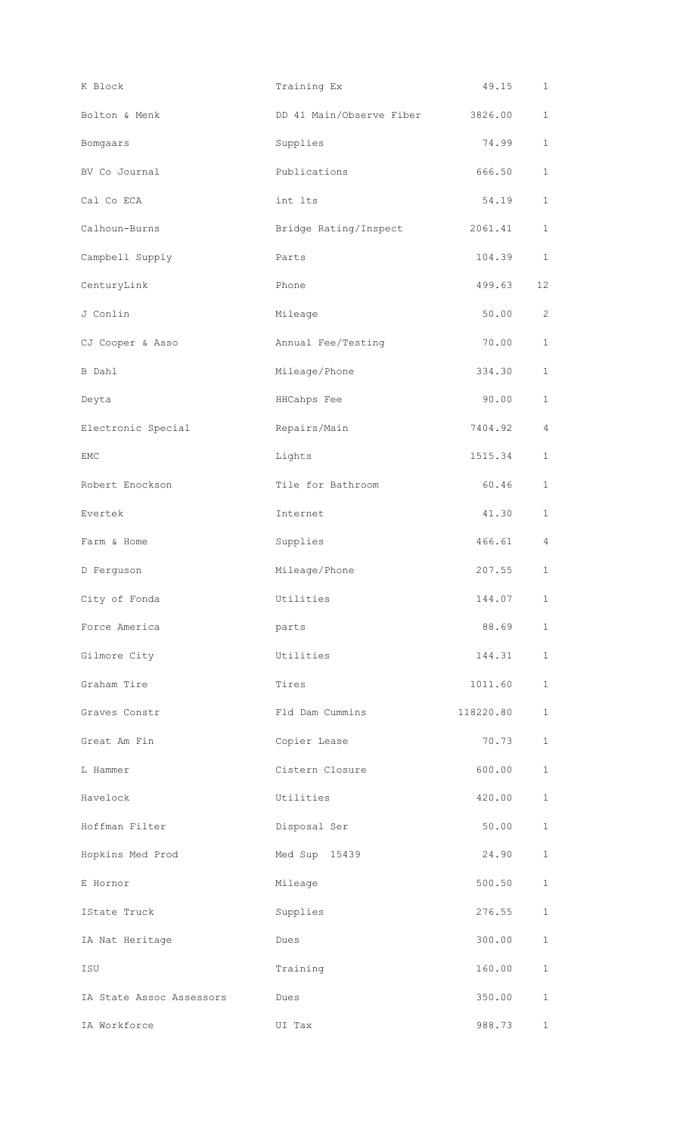| K Block                  | Training Ex                      | 49.15     | $\mathbf{1}$          |
|--------------------------|----------------------------------|-----------|-----------------------|
| Bolton & Menk            | DD 41 Main/Observe Fiber 3826.00 |           | $\mathbf 1$           |
| Bomgaars                 | Supplies                         | 74.99     | $\mathbf 1$           |
| BV Co Journal            | Publications                     | 666.50    | $\mathbf{1}$          |
| Cal Co ECA               | int lts                          | 54.19     | $\mathbf{1}$          |
| Calhoun-Burns            | Bridge Rating/Inspect            | 2061.41   | $\mathbf{1}$          |
| Campbell Supply          | Parts                            | 104.39    | $\mathbf{1}$          |
| CenturyLink              | Phone                            | 499.63    | 12 <sup>°</sup>       |
| J Conlin                 | Mileage                          | 50.00     | $\mathbf{2}^{\prime}$ |
| CJ Cooper & Asso         | Annual Fee/Testing               | 70.00     | $\mathbf 1$           |
| B Dahl                   | Mileage/Phone                    | 334.30    | $\mathbf{1}$          |
| Deyta                    | HHCahps Fee                      | 90.00     | $\mathbf{1}$          |
| Electronic Special       | Repairs/Main                     | 7404.92   | 4                     |
| EMC                      | Lights                           | 1515.34   | $\mathbf{1}$          |
| Robert Enockson          | Tile for Bathroom                | 60.46     | $\mathbf{1}$          |
| Evertek                  | Internet                         | 41.30     | $\mathbf{1}$          |
| Farm & Home              | Supplies                         | 466.61    | 4                     |
| D Ferguson               | Mileage/Phone                    | 207.55    | $\mathbf{1}$          |
| City of Fonda            | Utilities                        | 144.07    | $\mathbf{1}$          |
| Force America            | parts                            | 88.69     | $\mathbf{1}$          |
| Gilmore City             | Utilities                        | 144.31    | $\mathbf 1$           |
| Graham Tire              | Tires                            | 1011.60   | $\mathbf{1}$          |
| Graves Constr            | Fld Dam Cummins                  | 118220.80 | $\mathbf 1$           |
| Great Am Fin             | Copier Lease                     | 70.73     | $\mathbf{1}$          |
| L Hammer                 | Cistern Closure                  | 600.00    | $\mathbf{1}$          |
| Havelock                 | Utilities                        | 420.00    | $\mathbf{1}$          |
| Hoffman Filter           | Disposal Ser                     | 50.00     | $\mathbf{1}$          |
| Hopkins Med Prod         | Med Sup 15439                    | 24.90     | 1                     |
| E Hornor                 | Mileage                          | 500.50    | $\mathbf{1}$          |
| IState Truck             | Supplies                         | 276.55    | $\mathbf{1}$          |
| IA Nat Heritage          | Dues                             | 300.00    | $\mathbf{1}$          |
| ISU                      | Training                         | 160.00    | $\mathbf{1}$          |
| IA State Assoc Assessors | Dues                             | 350.00    | $\mathbf{1}$          |
| IA Workforce             | UI Tax                           | 988.73    | $\mathbf 1$           |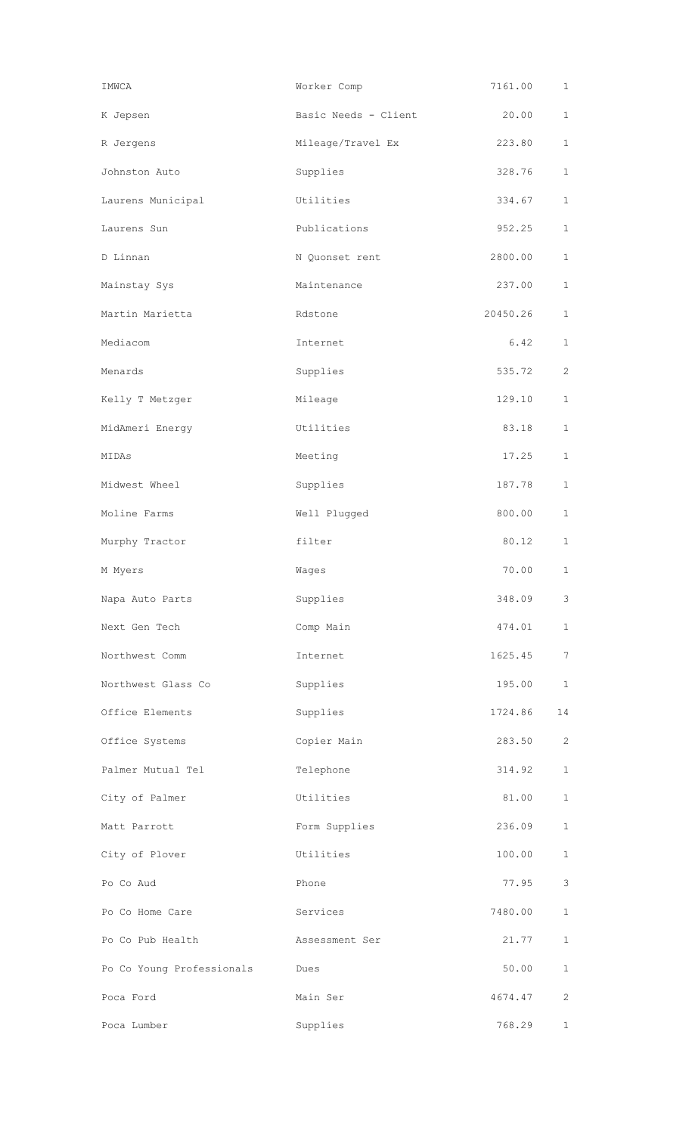| IMWCA                     | Worker Comp          | 7161.00  | $\mathbf{1}$    |
|---------------------------|----------------------|----------|-----------------|
| K Jepsen                  | Basic Needs - Client | 20.00    | $\mathbf{1}$    |
| R Jergens                 | Mileage/Travel Ex    | 223.80   | $\mathbf{1}$    |
| Johnston Auto             | Supplies             | 328.76   | $\mathbf{1}$    |
| Laurens Municipal         | Utilities            | 334.67   | $\mathbf{1}$    |
| Laurens Sun               | Publications         | 952.25   | $\mathbf{1}$    |
| D Linnan                  | N Quonset rent       | 2800.00  | $\mathbf{1}$    |
| Mainstay Sys              | Maintenance          | 237.00   | $\mathbf{1}$    |
| Martin Marietta           | Rdstone              | 20450.26 | $\mathbf{1}$    |
| Mediacom                  | Internet             | 6.42     | $\mathbf{1}$    |
| Menards                   | Supplies             | 535.72   | $\overline{2}$  |
| Kelly T Metzger           | Mileage              | 129.10   | $\mathbf{1}$    |
| MidAmeri Energy           | Utilities            | 83.18    | $\mathbf{1}$    |
| MIDAS                     | Meeting              | 17.25    | $\mathbf{1}$    |
| Midwest Wheel             | Supplies             | 187.78   | $\mathbf{1}$    |
| Moline Farms              | Well Plugged         | 800.00   | $\mathbf{1}$    |
| Murphy Tractor            | filter               | 80.12    | $\mathbf{1}$    |
| M Myers                   | Wages                | 70.00    | $\mathbf{1}$    |
| Napa Auto Parts           | Supplies             | 348.09   | 3               |
| Next Gen Tech             | Comp Main            | 474.01   | $\mathbf{1}$    |
| Northwest Comm            | Internet             | 1625.45  | $7\phantom{.0}$ |
| Northwest Glass Co        | Supplies             | 195.00   | $\mathbf{1}$    |
| Office Elements           | Supplies             | 1724.86  | 14              |
| Office Systems            | Copier Main          | 283.50   | 2               |
| Palmer Mutual Tel         | Telephone            | 314.92   | $\mathbf{1}$    |
| City of Palmer            | Utilities            | 81.00    | $\mathbf{1}$    |
| Matt Parrott              | Form Supplies        | 236.09   | $\mathbf{1}$    |
| City of Plover            | Utilities            | 100.00   | $\mathbf{1}$    |
| Po Co Aud                 | Phone                | 77.95    | 3               |
| Po Co Home Care           | Services             | 7480.00  | $\mathbf{1}$    |
| Po Co Pub Health          | Assessment Ser       | 21.77    | $\mathbf{1}$    |
| Po Co Young Professionals | Dues                 | 50.00    | $\mathbf{1}$    |
| Poca Ford                 | Main Ser             | 4674.47  | 2               |
| Poca Lumber               | Supplies             | 768.29   | $\mathbf{1}$    |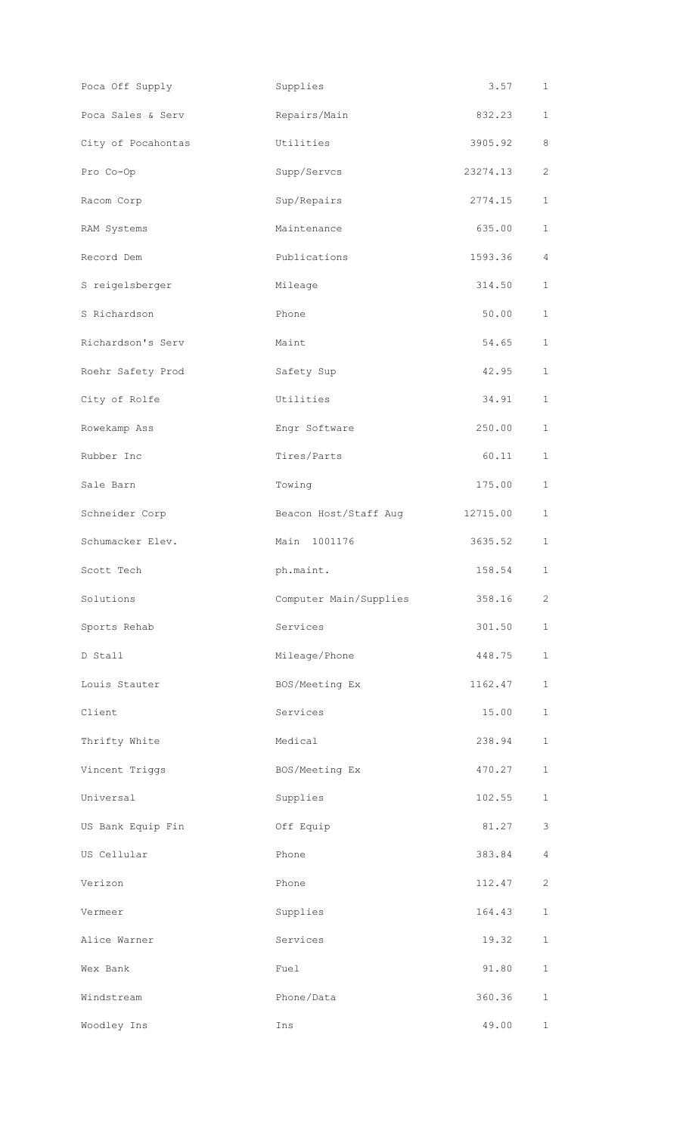| Poca Off Supply    | Supplies               | 3.57     | $\mathbf{1}$   |
|--------------------|------------------------|----------|----------------|
| Poca Sales & Serv  | Repairs/Main           | 832.23   | $\mathbf 1$    |
| City of Pocahontas | Utilities              | 3905.92  | 8              |
| Pro Co-Op          | Supp/Servcs            | 23274.13 | 2              |
| Racom Corp         | Sup/Repairs            | 2774.15  | $\mathbf 1$    |
| RAM Systems        | Maintenance            | 635.00   | $\mathbf 1$    |
| Record Dem         | Publications           | 1593.36  | $\overline{4}$ |
| S reigelsberger    | Mileage                | 314.50   | $\mathbf{1}$   |
| S Richardson       | Phone                  | 50.00    | $\mathbf 1$    |
| Richardson's Serv  | Maint                  | 54.65    | $\mathbf 1$    |
| Roehr Safety Prod  | Safety Sup             | 42.95    | $\mathbf{1}$   |
| City of Rolfe      | Utilities              | 34.91    | $\mathbf{1}$   |
| Rowekamp Ass       | Engr Software          | 250.00   | $\mathbf{1}$   |
| Rubber Inc         | Tires/Parts            | 60.11    | $\mathbf 1$    |
| Sale Barn          | Towing                 | 175.00   | 1              |
| Schneider Corp     | Beacon Host/Staff Aug  | 12715.00 | 1              |
| Schumacker Elev.   | Main 1001176           | 3635.52  | 1              |
|                    |                        |          |                |
| Scott Tech         | ph.maint.              | 158.54   | $\mathbf{1}$   |
| Solutions          | Computer Main/Supplies | 358.16   | $\mathbf{2}$   |
| Sports Rehab       | Services               | 301.50   | $\mathbf 1$    |
| D Stall            | Mileage/Phone          | 448.75   | $\mathbf 1$    |
| Louis Stauter      | BOS/Meeting Ex         | 1162.47  | $\mathbf{1}$   |
| Client             | Services               | 15.00    | $\mathbf 1$    |
| Thrifty White      | Medical                | 238.94   | 1              |
| Vincent Triggs     | BOS/Meeting Ex         | 470.27   | $\mathbf 1$    |
| Universal          | Supplies               | 102.55   | $\mathbf{1}$   |
| US Bank Equip Fin  | Off Equip              | 81.27    | 3              |
| US Cellular        | Phone                  | 383.84   | 4              |
| Verizon            | Phone                  | 112.47   | 2              |
| Vermeer            | Supplies               | 164.43   | $\mathbf 1$    |
| Alice Warner       | Services               | 19.32    | 1              |
| Wex Bank           | Fuel                   | 91.80    | $\mathbf{1}$   |
| Windstream         | Phone/Data             | 360.36   | 1              |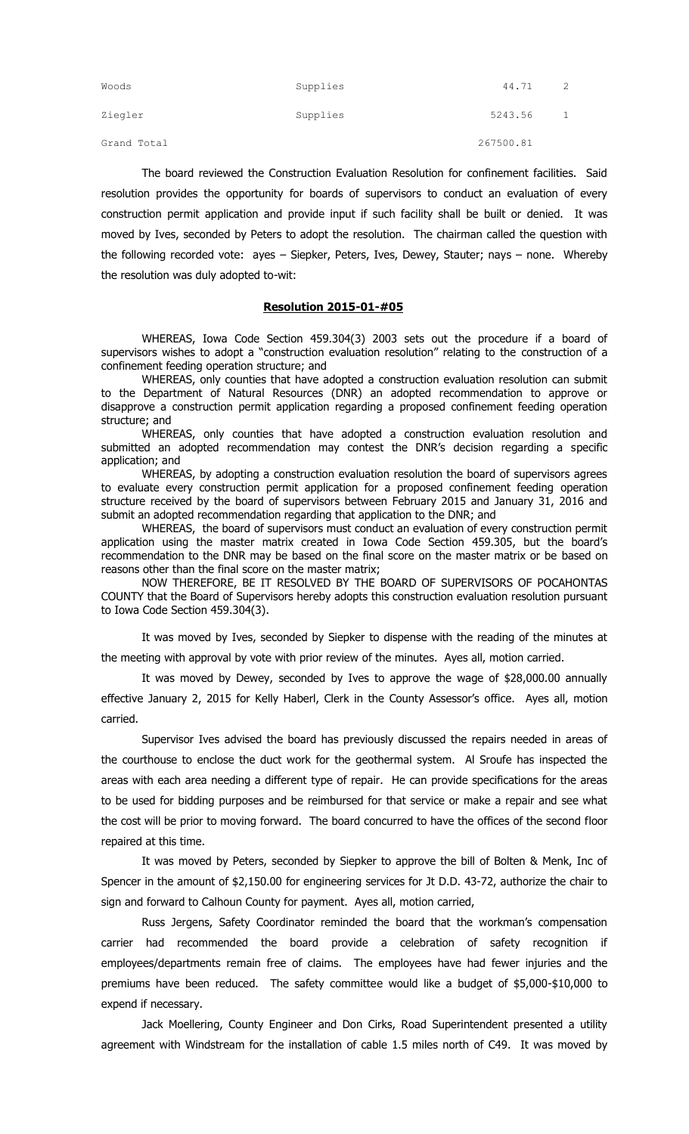| Woods       | Supplies | 44.71     | 2 |
|-------------|----------|-----------|---|
| Ziegler     | Supplies | 5243.56   |   |
| Grand Total |          | 267500.81 |   |

The board reviewed the Construction Evaluation Resolution for confinement facilities. Said resolution provides the opportunity for boards of supervisors to conduct an evaluation of every construction permit application and provide input if such facility shall be built or denied. It was moved by Ives, seconded by Peters to adopt the resolution. The chairman called the question with the following recorded vote: ayes – Siepker, Peters, Ives, Dewey, Stauter; nays – none. Whereby the resolution was duly adopted to-wit:

## **Resolution 2015-01-#05**

WHEREAS, Iowa Code Section 459.304(3) 2003 sets out the procedure if a board of supervisors wishes to adopt a "construction evaluation resolution" relating to the construction of a confinement feeding operation structure; and

WHEREAS, only counties that have adopted a construction evaluation resolution can submit to the Department of Natural Resources (DNR) an adopted recommendation to approve or disapprove a construction permit application regarding a proposed confinement feeding operation structure; and

WHEREAS, only counties that have adopted a construction evaluation resolution and submitted an adopted recommendation may contest the DNR's decision regarding a specific application; and

WHEREAS, by adopting a construction evaluation resolution the board of supervisors agrees to evaluate every construction permit application for a proposed confinement feeding operation structure received by the board of supervisors between February 2015 and January 31, 2016 and submit an adopted recommendation regarding that application to the DNR; and

WHEREAS, the board of supervisors must conduct an evaluation of every construction permit application using the master matrix created in Iowa Code Section 459.305, but the board's recommendation to the DNR may be based on the final score on the master matrix or be based on reasons other than the final score on the master matrix;

NOW THEREFORE, BE IT RESOLVED BY THE BOARD OF SUPERVISORS OF POCAHONTAS COUNTY that the Board of Supervisors hereby adopts this construction evaluation resolution pursuant to Iowa Code Section 459.304(3).

It was moved by Ives, seconded by Siepker to dispense with the reading of the minutes at the meeting with approval by vote with prior review of the minutes. Ayes all, motion carried.

It was moved by Dewey, seconded by Ives to approve the wage of \$28,000.00 annually effective January 2, 2015 for Kelly Haberl, Clerk in the County Assessor's office. Ayes all, motion carried.

Supervisor Ives advised the board has previously discussed the repairs needed in areas of the courthouse to enclose the duct work for the geothermal system. Al Sroufe has inspected the areas with each area needing a different type of repair. He can provide specifications for the areas to be used for bidding purposes and be reimbursed for that service or make a repair and see what the cost will be prior to moving forward. The board concurred to have the offices of the second floor repaired at this time.

It was moved by Peters, seconded by Siepker to approve the bill of Bolten & Menk, Inc of Spencer in the amount of \$2,150.00 for engineering services for Jt D.D. 43-72, authorize the chair to sign and forward to Calhoun County for payment. Ayes all, motion carried,

Russ Jergens, Safety Coordinator reminded the board that the workman's compensation carrier had recommended the board provide a celebration of safety recognition if employees/departments remain free of claims. The employees have had fewer injuries and the premiums have been reduced. The safety committee would like a budget of \$5,000-\$10,000 to expend if necessary.

Jack Moellering, County Engineer and Don Cirks, Road Superintendent presented a utility agreement with Windstream for the installation of cable 1.5 miles north of C49. It was moved by